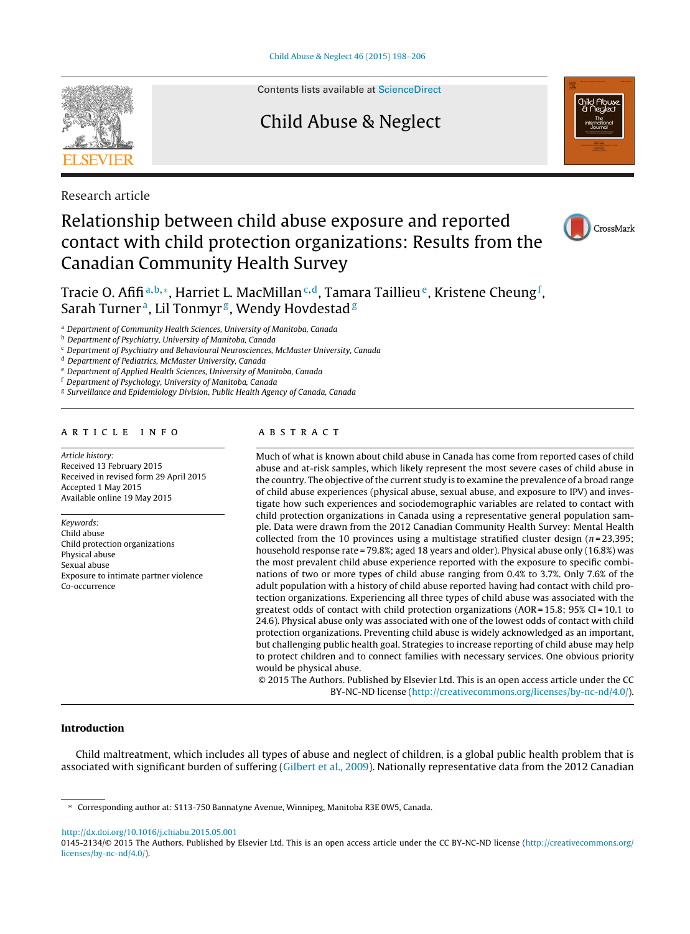

Contents lists available at [ScienceDirect](http://www.sciencedirect.com/science/journal/01452134)

### Child Abuse & Neglect



Research article

## Relationship between child abuse exposure and reported contact with child protection organizations: Results from the Canadian Community Health Survey



### Tracie O. Afifi<sup>a,b,</sup>\*, Harriet L. MacMillan<sup>c,d</sup>, Tamara Taillieu°, Kristene Cheung<sup>f</sup>, Sarah Turner<sup>a</sup>, Lil Tonmyr<sup>g</sup>, Wendy Hovdestad<sup>g</sup>

<sup>a</sup> Department of Community Health Sciences, University of Manitoba, Canada

<sup>b</sup> Department of Psychiatry, University of Manitoba, Canada

 $\epsilon$  Department of Psychiatry and Behavioural Neurosciences, McMaster University, Canada

<sup>d</sup> Department of Pediatrics, McMaster University, Canada

<sup>e</sup> Department of Applied Health Sciences, University of Manitoba, Canada

Department of Psychology, University of Manitoba, Canada

<sup>g</sup> Surveillance and Epidemiology Division, Public Health Agency of Canada, Canada

#### a r t i c l e i n f o

Article history: Received 13 February 2015 Received in revised form 29 April 2015 Accepted 1 May 2015 Available online 19 May 2015

Keywords: Child abuse Child protection organizations Physical abuse Sexual abuse Exposure to intimate partner violence Co-occurrence

#### A B S T R A C T

Much of what is known about child abuse in Canada has come from reported cases of child abuse and at-risk samples, which likely represent the most severe cases of child abuse in the country. The objective of the current study is to examine the prevalence of a broad range of child abuse experiences (physical abuse, sexual abuse, and exposure to IPV) and investigate how such experiences and sociodemographic variables are related to contact with child protection organizations in Canada using a representative general population sample. Data were drawn from the 2012 Canadian Community Health Survey: Mental Health collected from the 10 provinces using a multistage stratified cluster design  $(n=23,395)$ ; household response rate = 79.8%; aged 18 years and older). Physical abuse only (16.8%) was the most prevalent child abuse experience reported with the exposure to specific combinations of two or more types of child abuse ranging from 0.4% to 3.7%. Only 7.6% of the adult population with a history of child abuse reported having had contact with child protection organizations. Experiencing all three types of child abuse was associated with the greatest odds of contact with child protection organizations ( $AOR = 15.8$ ;  $95\%$  CI = 10.1 to 24.6). Physical abuse only was associated with one of the lowest odds of contact with child protection organizations. Preventing child abuse is widely acknowledged as an important, but challenging public health goal. Strategies to increase reporting of child abuse may help to protect children and to connect families with necessary services. One obvious priority would be physical abuse.

© 2015 The Authors. Published by Elsevier Ltd. This is an open access article under the CC BY-NC-ND license (<http://creativecommons.org/licenses/by-nc-nd/4.0/>).

#### **Introduction**

Child maltreatment, which includes all types of abuse and neglect of children, is a global public health problem that is associated with significant burden of suffering [\(Gilbert](#page--1-0) et [al.,](#page--1-0) [2009\).](#page--1-0) Nationally representative data from the 2012 Canadian

[http://dx.doi.org/10.1016/j.chiabu.2015.05.001](dx.doi.org/10.1016/j.chiabu.2015.05.001)

<sup>∗</sup> Corresponding author at: S113-750 Bannatyne Avenue, Winnipeg, Manitoba R3E 0W5, Canada.

<sup>0145-2134/©</sup> 2015 The Authors. Published by Elsevier Ltd. This is an open access article under the CC BY-NC-ND license [\(http://creativecommons.org/](http://creativecommons.org/licenses/by-nc-nd/4.0/) [licenses/by-nc-nd/4.0/\)](http://creativecommons.org/licenses/by-nc-nd/4.0/).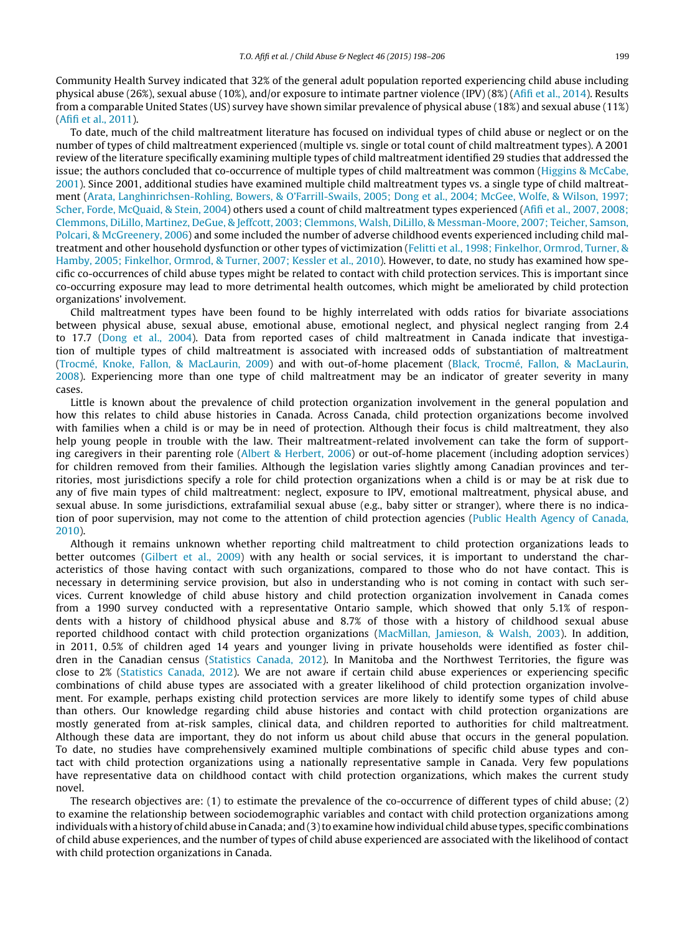Community Health Survey indicated that 32% of the general adult population reported experiencing child abuse including physical abuse (26%), sexual abuse (10%), and/or exposure to intimate partner violence (IPV) (8%) ([Afifi](#page--1-0) et [al.,](#page--1-0) [2014\).](#page--1-0) Results from a comparable United States (US) survey have shown similar prevalence of physical abuse (18%) and sexual abuse (11%) [\(Afifi](#page--1-0) et [al.,](#page--1-0) [2011\).](#page--1-0)

To date, much of the child maltreatment literature has focused on individual types of child abuse or neglect or on the number of types of child maltreatment experienced (multiple vs. single or total count of child maltreatment types). A 2001 review of the literature specifically examining multiple types of child maltreatment identified 29 studies that addressed the issue; the authors concluded that co-occurrence of multiple types of child maltreatment was common [\(Higgins](#page--1-0) [&](#page--1-0) [McCabe,](#page--1-0) [2001\).](#page--1-0) Since 2001, additional studies have examined multiple child maltreatment types vs. a single type of child maltreatment ([Arata,](#page--1-0) [Langhinrichsen-Rohling,](#page--1-0) [Bowers,](#page--1-0) [&](#page--1-0) [O'Farrill-Swails,](#page--1-0) [2005;](#page--1-0) [Dong](#page--1-0) et [al.,](#page--1-0) [2004;](#page--1-0) [McGee,](#page--1-0) [Wolfe,](#page--1-0) [&](#page--1-0) [Wilson,](#page--1-0) [1997;](#page--1-0) [Scher,](#page--1-0) [Forde,](#page--1-0) [McQuaid,](#page--1-0) [&](#page--1-0) [Stein,](#page--1-0) [2004\)](#page--1-0) others used a count of child maltreatment types experienced ([Afifi](#page--1-0) et [al.,](#page--1-0) [2007,](#page--1-0) [2008;](#page--1-0) [Clemmons,](#page--1-0) [DiLillo,](#page--1-0) [Martinez,](#page--1-0) [DeGue,](#page--1-0) [&](#page--1-0) [Jeffcott,](#page--1-0) [2003;](#page--1-0) [Clemmons,](#page--1-0) [Walsh,](#page--1-0) [DiLillo,](#page--1-0) [&](#page--1-0) [Messman-Moore,](#page--1-0) [2007;](#page--1-0) [Teicher,](#page--1-0) [Samson,](#page--1-0) [Polcari,](#page--1-0) [&](#page--1-0) [McGreenery,](#page--1-0) [2006\)](#page--1-0) and some included the number of adverse childhood events experienced including child maltreatment and other household dysfunction or other types of victimization [\(Felitti](#page--1-0) et [al.,](#page--1-0) [1998;](#page--1-0) [Finkelhor,](#page--1-0) [Ormrod,](#page--1-0) [Turner,](#page--1-0) [&](#page--1-0) [Hamby,](#page--1-0) [2005;](#page--1-0) [Finkelhor,](#page--1-0) [Ormrod,](#page--1-0) [&](#page--1-0) [Turner,](#page--1-0) [2007;](#page--1-0) [Kessler](#page--1-0) et [al.,](#page--1-0) [2010\).](#page--1-0) However, to date, no study has examined how specific co-occurrences of child abuse types might be related to contact with child protection services. This is important since co-occurring exposure may lead to more detrimental health outcomes, which might be ameliorated by child protection organizations' involvement.

Child maltreatment types have been found to be highly interrelated with odds ratios for bivariate associations between physical abuse, sexual abuse, emotional abuse, emotional neglect, and physical neglect ranging from 2.4 to 17.7 ([Dong](#page--1-0) et [al.,](#page--1-0) [2004\).](#page--1-0) Data from reported cases of child maltreatment in Canada indicate that investigation of multiple types of child maltreatment is associated with increased odds of substantiation of maltreatment [\(Trocmé,](#page--1-0) [Knoke,](#page--1-0) [Fallon,](#page--1-0) [&](#page--1-0) [MacLaurin,](#page--1-0) [2009\)](#page--1-0) and with out-of-home placement ([Black,](#page--1-0) [Trocmé,](#page--1-0) [Fallon,](#page--1-0) [&](#page--1-0) [MacLaurin,](#page--1-0) [2008\).](#page--1-0) Experiencing more than one type of child maltreatment may be an indicator of greater severity in many cases.

Little is known about the prevalence of child protection organization involvement in the general population and how this relates to child abuse histories in Canada. Across Canada, child protection organizations become involved with families when a child is or may be in need of protection. Although their focus is child maltreatment, they also help young people in trouble with the law. Their maltreatment-related involvement can take the form of supporting caregivers in their parenting role ([Albert](#page--1-0) [&](#page--1-0) [Herbert,](#page--1-0) [2006\)](#page--1-0) or out-of-home placement (including adoption services) for children removed from their families. Although the legislation varies slightly among Canadian provinces and territories, most jurisdictions specify a role for child protection organizations when a child is or may be at risk due to any of five main types of child maltreatment: neglect, exposure to IPV, emotional maltreatment, physical abuse, and sexual abuse. In some jurisdictions, extrafamilial sexual abuse (e.g., baby sitter or stranger), where there is no indication of poor supervision, may not come to the attention of child protection agencies [\(Public](#page--1-0) [Health](#page--1-0) [Agency](#page--1-0) [of](#page--1-0) [Canada,](#page--1-0) [2010\).](#page--1-0)

Although it remains unknown whether reporting child maltreatment to child protection organizations leads to better outcomes ([Gilbert](#page--1-0) et [al.,](#page--1-0) [2009\)](#page--1-0) with any health or social services, it is important to understand the characteristics of those having contact with such organizations, compared to those who do not have contact. This is necessary in determining service provision, but also in understanding who is not coming in contact with such services. Current knowledge of child abuse history and child protection organization involvement in Canada comes from a 1990 survey conducted with a representative Ontario sample, which showed that only 5.1% of respondents with a history of childhood physical abuse and 8.7% of those with a history of childhood sexual abuse reported childhood contact with child protection organizations [\(MacMillan,](#page--1-0) [Jamieson,](#page--1-0) [&](#page--1-0) [Walsh,](#page--1-0) [2003\).](#page--1-0) In addition, in 2011, 0.5% of children aged 14 years and younger living in private households were identified as foster children in the Canadian census ([Statistics](#page--1-0) [Canada,](#page--1-0) [2012\).](#page--1-0) In Manitoba and the Northwest Territories, the figure was close to 2% ([Statistics](#page--1-0) [Canada,](#page--1-0) [2012\).](#page--1-0) We are not aware if certain child abuse experiences or experiencing specific combinations of child abuse types are associated with a greater likelihood of child protection organization involvement. For example, perhaps existing child protection services are more likely to identify some types of child abuse than others. Our knowledge regarding child abuse histories and contact with child protection organizations are mostly generated from at-risk samples, clinical data, and children reported to authorities for child maltreatment. Although these data are important, they do not inform us about child abuse that occurs in the general population. To date, no studies have comprehensively examined multiple combinations of specific child abuse types and contact with child protection organizations using a nationally representative sample in Canada. Very few populations have representative data on childhood contact with child protection organizations, which makes the current study novel.

The research objectives are: (1) to estimate the prevalence of the co-occurrence of different types of child abuse; (2) to examine the relationship between sociodemographic variables and contact with child protection organizations among individuals with a history of child abuse in Canada; and  $(3)$  to examine how individual child abuse types, specific combinations of child abuse experiences, and the number of types of child abuse experienced are associated with the likelihood of contact with child protection organizations in Canada.